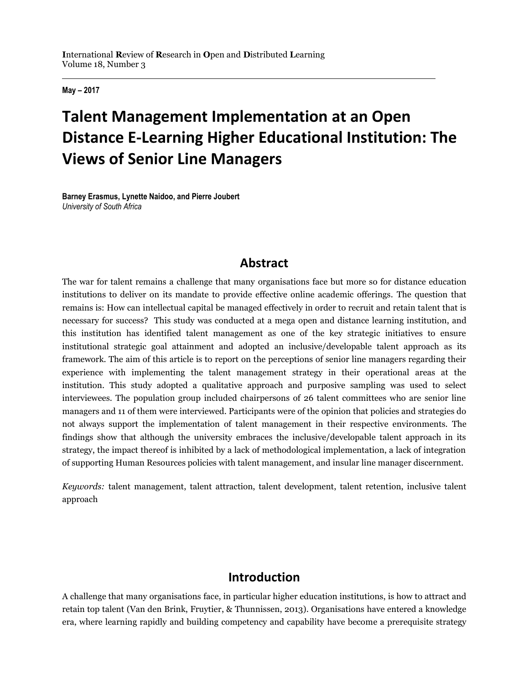**May – 2017**

# **Talent Management Implementation at an Open Distance E-Learning Higher Educational Institution: The Views of Senior Line Managers**

**Barney Erasmus, Lynette Naidoo, and Pierre Joubert** *University of South Africa*

## **Abstract**

The war for talent remains a challenge that many organisations face but more so for distance education institutions to deliver on its mandate to provide effective online academic offerings. The question that remains is: How can intellectual capital be managed effectively in order to recruit and retain talent that is necessary for success? This study was conducted at a mega open and distance learning institution, and this institution has identified talent management as one of the key strategic initiatives to ensure institutional strategic goal attainment and adopted an inclusive/developable talent approach as its framework. The aim of this article is to report on the perceptions of senior line managers regarding their experience with implementing the talent management strategy in their operational areas at the institution. This study adopted a qualitative approach and purposive sampling was used to select interviewees. The population group included chairpersons of 26 talent committees who are senior line managers and 11 of them were interviewed. Participants were of the opinion that policies and strategies do not always support the implementation of talent management in their respective environments. The findings show that although the university embraces the inclusive/developable talent approach in its strategy, the impact thereof is inhibited by a lack of methodological implementation, a lack of integration of supporting Human Resources policies with talent management, and insular line manager discernment.

*Keywords:* talent management, talent attraction, talent development, talent retention, inclusive talent approach

# **Introduction**

A challenge that many organisations face, in particular higher education institutions, is how to attract and retain top talent (Van den Brink, Fruytier, & Thunnissen, 2013). Organisations have entered a knowledge era, where learning rapidly and building competency and capability have become a prerequisite strategy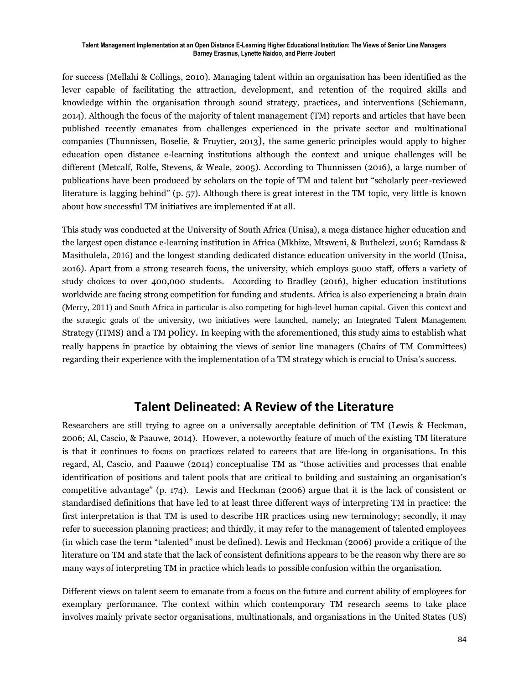for success (Mellahi & Collings, 2010). Managing talent within an organisation has been identified as the lever capable of facilitating the attraction, development, and retention of the required skills and knowledge within the organisation through sound strategy, practices, and interventions (Schiemann, 2014). Although the focus of the majority of talent management (TM) reports and articles that have been published recently emanates from challenges experienced in the private sector and multinational companies (Thunnissen, Boselie, & Fruytier, 2013), the same generic principles would apply to higher education open distance e-learning institutions although the context and unique challenges will be different (Metcalf, Rolfe, Stevens, & Weale, 2005). According to Thunnissen (2016), a large number of publications have been produced by scholars on the topic of TM and talent but "scholarly peer-reviewed literature is lagging behind" (p. 57). Although there is great interest in the TM topic, very little is known about how successful TM initiatives are implemented if at all.

This study was conducted at the University of South Africa (Unisa), a mega distance higher education and the largest open distance e-learning institution in Africa (Mkhize, Mtsweni, & Buthelezi, 2016; Ramdass & Masithulela, 2016) and the longest standing dedicated distance education university in the world (Unisa, 2016). Apart from a strong research focus, the university, which employs 5000 staff, offers a variety of study choices to over 400,000 students. According to Bradley (2016), higher education institutions worldwide are facing strong competition for funding and students. Africa is also experiencing a brain drain (Mercy, 2011) and South Africa in particular is also competing for high-level human capital. Given this context and the strategic goals of the university, two initiatives were launched, namely; an Integrated Talent Management Strategy (ITMS) and a TM policy. In keeping with the aforementioned, this study aims to establish what really happens in practice by obtaining the views of senior line managers (Chairs of TM Committees) regarding their experience with the implementation of a TM strategy which is crucial to Unisa's success.

# **Talent Delineated: A Review of the Literature**

Researchers are still trying to agree on a universally acceptable definition of TM (Lewis & Heckman, 2006; Al, Cascio, & Paauwe, 2014). However, a noteworthy feature of much of the existing TM literature is that it continues to focus on practices related to careers that are life-long in organisations. In this regard, Al, Cascio, and Paauwe (2014) conceptualise TM as "those activities and processes that enable identification of positions and talent pools that are critical to building and sustaining an organisation's competitive advantage" (p. 174). Lewis and Heckman (2006) argue that it is the lack of consistent or standardised definitions that have led to at least three different ways of interpreting TM in practice: the first interpretation is that TM is used to describe HR practices using new terminology; secondly, it may refer to succession planning practices; and thirdly, it may refer to the management of talented employees (in which case the term "talented" must be defined). Lewis and Heckman (2006) provide a critique of the literature on TM and state that the lack of consistent definitions appears to be the reason why there are so many ways of interpreting TM in practice which leads to possible confusion within the organisation.

Different views on talent seem to emanate from a focus on the future and current ability of employees for exemplary performance. The context within which contemporary TM research seems to take place involves mainly private sector organisations, multinationals, and organisations in the United States (US)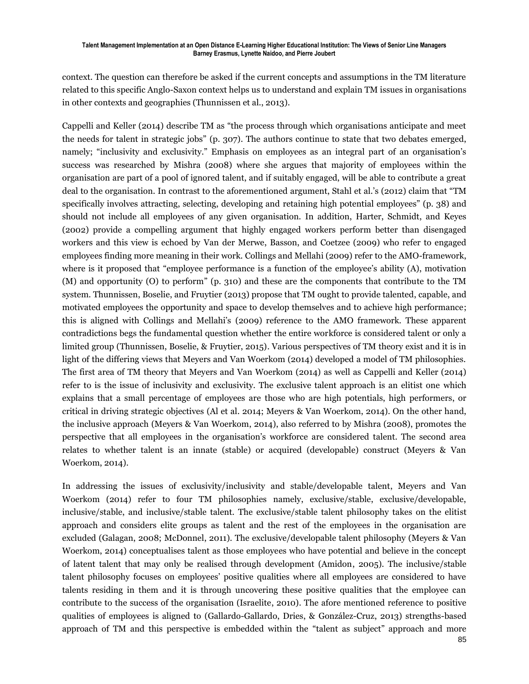context. The question can therefore be asked if the current concepts and assumptions in the TM literature related to this specific Anglo-Saxon context helps us to understand and explain TM issues in organisations in other contexts and geographies (Thunnissen et al., 2013).

Cappelli and Keller (2014) describe TM as "the process through which organisations anticipate and meet the needs for talent in strategic jobs" (p. 307). The authors continue to state that two debates emerged, namely; "inclusivity and exclusivity." Emphasis on employees as an integral part of an organisation's success was researched by Mishra (2008) where she argues that majority of employees within the organisation are part of a pool of ignored talent, and if suitably engaged, will be able to contribute a great deal to the organisation. In contrast to the aforementioned argument, Stahl et al.'s (2012) claim that "TM specifically involves attracting, selecting, developing and retaining high potential employees" (p. 38) and should not include all employees of any given organisation. In addition, Harter, Schmidt, and Keyes (2002) provide a compelling argument that highly engaged workers perform better than disengaged workers and this view is echoed by Van der Merwe, Basson, and Coetzee (2009) who refer to engaged employees finding more meaning in their work. Collings and Mellahi (2009) refer to the AMO-framework, where is it proposed that "employee performance is a function of the employee's ability (A), motivation (M) and opportunity (O) to perform" (p. 310) and these are the components that contribute to the TM system. Thunnissen, Boselie, and Fruytier (2013) propose that TM ought to provide talented, capable, and motivated employees the opportunity and space to develop themselves and to achieve high performance; this is aligned with Collings and Mellahi's (2009) reference to the AMO framework. These apparent contradictions begs the fundamental question whether the entire workforce is considered talent or only a limited group (Thunnissen, Boselie, & Fruytier, 2015). Various perspectives of TM theory exist and it is in light of the differing views that Meyers and Van Woerkom (2014) developed a model of TM philosophies. The first area of TM theory that Meyers and Van Woerkom (2014) as well as Cappelli and Keller (2014) refer to is the issue of inclusivity and exclusivity. The exclusive talent approach is an elitist one which explains that a small percentage of employees are those who are high potentials, high performers, or critical in driving strategic objectives (Al et al. 2014; Meyers & Van Woerkom, 2014). On the other hand, the inclusive approach (Meyers & Van Woerkom, 2014), also referred to by Mishra (2008), promotes the perspective that all employees in the organisation's workforce are considered talent. The second area relates to whether talent is an innate (stable) or acquired (developable) construct (Meyers & Van Woerkom, 2014).

In addressing the issues of exclusivity/inclusivity and stable/developable talent, Meyers and Van Woerkom (2014) refer to four TM philosophies namely, exclusive/stable, exclusive/developable, inclusive/stable, and inclusive/stable talent. The exclusive/stable talent philosophy takes on the elitist approach and considers elite groups as talent and the rest of the employees in the organisation are excluded (Galagan, 2008; McDonnel, 2011). The exclusive/developable talent philosophy (Meyers & Van Woerkom, 2014) conceptualises talent as those employees who have potential and believe in the concept of latent talent that may only be realised through development (Amidon, 2005). The inclusive/stable talent philosophy focuses on employees' positive qualities where all employees are considered to have talents residing in them and it is through uncovering these positive qualities that the employee can contribute to the success of the organisation (Israelite, 2010). The afore mentioned reference to positive qualities of employees is aligned to (Gallardo-Gallardo, Dries, & González-Cruz, 2013) strengths-based approach of TM and this perspective is embedded within the "talent as subject" approach and more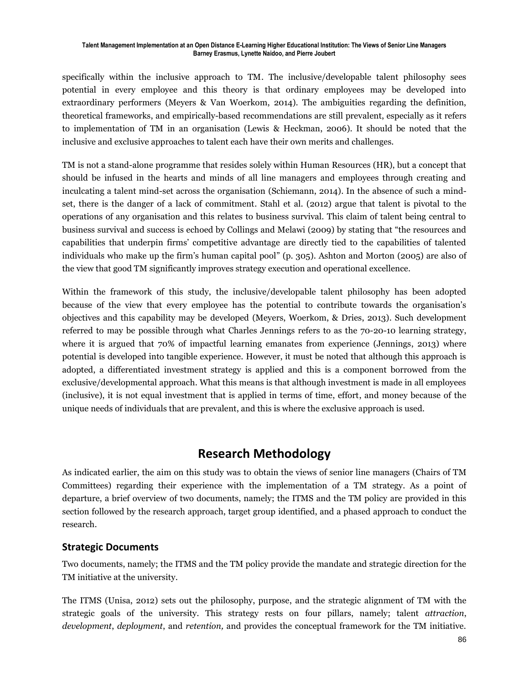specifically within the inclusive approach to TM. The inclusive/developable talent philosophy sees potential in every employee and this theory is that ordinary employees may be developed into extraordinary performers (Meyers & Van Woerkom, 2014). The ambiguities regarding the definition, theoretical frameworks, and empirically-based recommendations are still prevalent, especially as it refers to implementation of TM in an organisation (Lewis & Heckman, 2006). It should be noted that the inclusive and exclusive approaches to talent each have their own merits and challenges.

TM is not a stand-alone programme that resides solely within Human Resources (HR), but a concept that should be infused in the hearts and minds of all line managers and employees through creating and inculcating a talent mind-set across the organisation (Schiemann, 2014). In the absence of such a mindset, there is the danger of a lack of commitment. Stahl et al. (2012) argue that talent is pivotal to the operations of any organisation and this relates to business survival. This claim of talent being central to business survival and success is echoed by Collings and Melawi (2009) by stating that "the resources and capabilities that underpin firms' competitive advantage are directly tied to the capabilities of talented individuals who make up the firm's human capital pool" (p. 305). Ashton and Morton (2005) are also of the view that good TM significantly improves strategy execution and operational excellence.

Within the framework of this study, the inclusive/developable talent philosophy has been adopted because of the view that every employee has the potential to contribute towards the organisation's objectives and this capability may be developed (Meyers, Woerkom, & Dries, 2013). Such development referred to may be possible through what Charles Jennings refers to as the 70-20-10 learning strategy, where it is argued that 70% of impactful learning emanates from experience (Jennings, 2013) where potential is developed into tangible experience. However, it must be noted that although this approach is adopted, a differentiated investment strategy is applied and this is a component borrowed from the exclusive/developmental approach. What this means is that although investment is made in all employees (inclusive), it is not equal investment that is applied in terms of time, effort, and money because of the unique needs of individuals that are prevalent, and this is where the exclusive approach is used.

# **Research Methodology**

As indicated earlier, the aim on this study was to obtain the views of senior line managers (Chairs of TM Committees) regarding their experience with the implementation of a TM strategy. As a point of departure, a brief overview of two documents, namely; the ITMS and the TM policy are provided in this section followed by the research approach, target group identified, and a phased approach to conduct the research.

### **Strategic Documents**

Two documents, namely; the ITMS and the TM policy provide the mandate and strategic direction for the TM initiative at the university.

The ITMS (Unisa, 2012) sets out the philosophy, purpose, and the strategic alignment of TM with the strategic goals of the university*.* This strategy rests on four pillars, namely; talent *attraction*, *development*, *deployment*, and *retention,* and provides the conceptual framework for the TM initiative.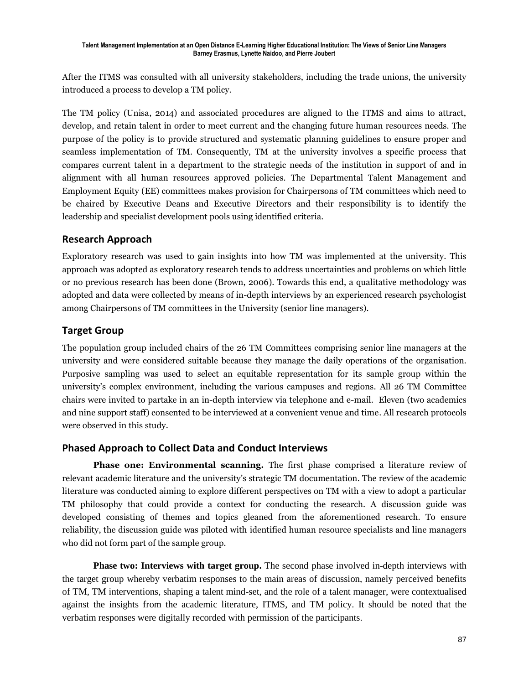After the ITMS was consulted with all university stakeholders, including the trade unions, the university introduced a process to develop a TM policy.

The TM policy (Unisa, 2014) and associated procedures are aligned to the ITMS and aims to attract, develop, and retain talent in order to meet current and the changing future human resources needs. The purpose of the policy is to provide structured and systematic planning guidelines to ensure proper and seamless implementation of TM. Consequently, TM at the university involves a specific process that compares current talent in a department to the strategic needs of the institution in support of and in alignment with all human resources approved policies. The Departmental Talent Management and Employment Equity (EE) committees makes provision for Chairpersons of TM committees which need to be chaired by Executive Deans and Executive Directors and their responsibility is to identify the leadership and specialist development pools using identified criteria.

### **Research Approach**

Exploratory research was used to gain insights into how TM was implemented at the university. This approach was adopted as exploratory research tends to address uncertainties and problems on which little or no previous research has been done (Brown, 2006). Towards this end, a qualitative methodology was adopted and data were collected by means of in-depth interviews by an experienced research psychologist among Chairpersons of TM committees in the University (senior line managers).

### **Target Group**

The population group included chairs of the 26 TM Committees comprising senior line managers at the university and were considered suitable because they manage the daily operations of the organisation. Purposive sampling was used to select an equitable representation for its sample group within the university's complex environment, including the various campuses and regions. All 26 TM Committee chairs were invited to partake in an in-depth interview via telephone and e-mail. Eleven (two academics and nine support staff) consented to be interviewed at a convenient venue and time. All research protocols were observed in this study.

### **Phased Approach to Collect Data and Conduct Interviews**

**Phase one: Environmental scanning.** The first phase comprised a literature review of relevant academic literature and the university's strategic TM documentation. The review of the academic literature was conducted aiming to explore different perspectives on TM with a view to adopt a particular TM philosophy that could provide a context for conducting the research. A discussion guide was developed consisting of themes and topics gleaned from the aforementioned research. To ensure reliability, the discussion guide was piloted with identified human resource specialists and line managers who did not form part of the sample group.

**Phase two: Interviews with target group.** The second phase involved in-depth interviews with the target group whereby verbatim responses to the main areas of discussion, namely perceived benefits of TM, TM interventions, shaping a talent mind-set, and the role of a talent manager, were contextualised against the insights from the academic literature, ITMS, and TM policy. It should be noted that the verbatim responses were digitally recorded with permission of the participants.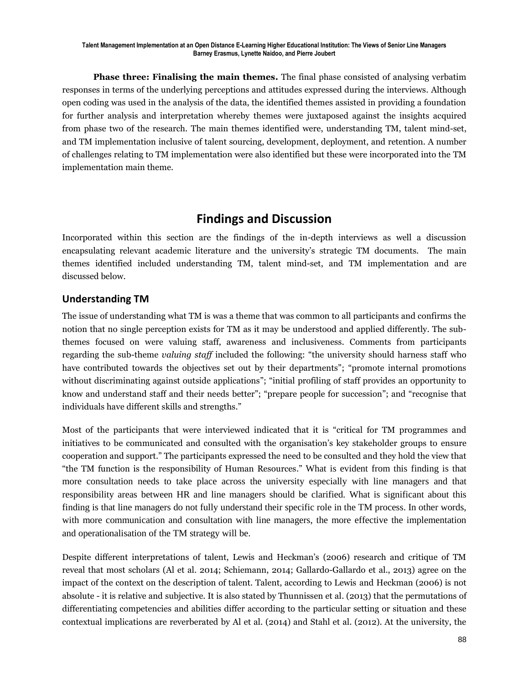**Phase three: Finalising the main themes.** The final phase consisted of analysing verbatim responses in terms of the underlying perceptions and attitudes expressed during the interviews. Although open coding was used in the analysis of the data, the identified themes assisted in providing a foundation for further analysis and interpretation whereby themes were juxtaposed against the insights acquired from phase two of the research. The main themes identified were, understanding TM, talent mind-set, and TM implementation inclusive of talent sourcing, development, deployment, and retention. A number of challenges relating to TM implementation were also identified but these were incorporated into the TM implementation main theme.

# **Findings and Discussion**

Incorporated within this section are the findings of the in-depth interviews as well a discussion encapsulating relevant academic literature and the university's strategic TM documents. The main themes identified included understanding TM, talent mind-set, and TM implementation and are discussed below.

### **Understanding TM**

The issue of understanding what TM is was a theme that was common to all participants and confirms the notion that no single perception exists for TM as it may be understood and applied differently. The subthemes focused on were valuing staff, awareness and inclusiveness*.* Comments from participants regarding the sub-theme *valuing staff* included the following: "the university should harness staff who have contributed towards the objectives set out by their departments"; "promote internal promotions without discriminating against outside applications"; "initial profiling of staff provides an opportunity to know and understand staff and their needs better"; "prepare people for succession"; and "recognise that individuals have different skills and strengths."

Most of the participants that were interviewed indicated that it is "critical for TM programmes and initiatives to be communicated and consulted with the organisation's key stakeholder groups to ensure cooperation and support." The participants expressed the need to be consulted and they hold the view that "the TM function is the responsibility of Human Resources." What is evident from this finding is that more consultation needs to take place across the university especially with line managers and that responsibility areas between HR and line managers should be clarified. What is significant about this finding is that line managers do not fully understand their specific role in the TM process. In other words, with more communication and consultation with line managers, the more effective the implementation and operationalisation of the TM strategy will be.

Despite different interpretations of talent, Lewis and Heckman's (2006) research and critique of TM reveal that most scholars (Al et al. 2014; Schiemann, 2014; Gallardo-Gallardo et al., 2013) agree on the impact of the context on the description of talent. Talent, according to Lewis and Heckman (2006) is not absolute - it is relative and subjective. It is also stated by Thunnissen et al. (2013) that the permutations of differentiating competencies and abilities differ according to the particular setting or situation and these contextual implications are reverberated by Al et al. (2014) and Stahl et al. (2012). At the university, the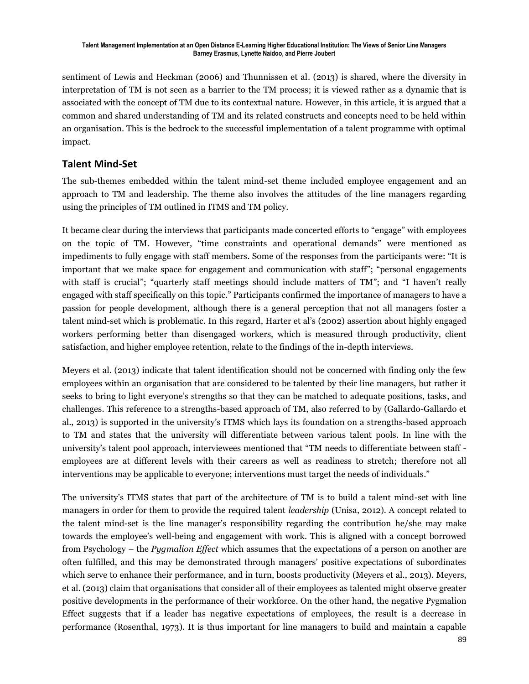sentiment of Lewis and Heckman (2006) and Thunnissen et al. (2013) is shared, where the diversity in interpretation of TM is not seen as a barrier to the TM process; it is viewed rather as a dynamic that is associated with the concept of TM due to its contextual nature. However, in this article, it is argued that a common and shared understanding of TM and its related constructs and concepts need to be held within an organisation. This is the bedrock to the successful implementation of a talent programme with optimal impact.

### **Talent Mind-Set**

The sub-themes embedded within the talent mind-set theme included employee engagement and an approach to TM and leadership. The theme also involves the attitudes of the line managers regarding using the principles of TM outlined in ITMS and TM policy.

It became clear during the interviews that participants made concerted efforts to "engage" with employees on the topic of TM. However, "time constraints and operational demands" were mentioned as impediments to fully engage with staff members. Some of the responses from the participants were: "It is important that we make space for engagement and communication with staff"; "personal engagements with staff is crucial"; "quarterly staff meetings should include matters of TM"; and "I haven't really engaged with staff specifically on this topic." Participants confirmed the importance of managers to have a passion for people development*,* although there is a general perception that not all managers foster a talent mind-set which is problematic. In this regard, Harter et al's (2002) assertion about highly engaged workers performing better than disengaged workers, which is measured through productivity, client satisfaction, and higher employee retention, relate to the findings of the in-depth interviews.

Meyers et al. (2013) indicate that talent identification should not be concerned with finding only the few employees within an organisation that are considered to be talented by their line managers, but rather it seeks to bring to light everyone's strengths so that they can be matched to adequate positions, tasks, and challenges. This reference to a strengths-based approach of TM, also referred to by (Gallardo-Gallardo et al., 2013) is supported in the university's ITMS which lays its foundation on a strengths-based approach to TM and states that the university will differentiate between various talent pools. In line with the university's talent pool approach, interviewees mentioned that "TM needs to differentiate between staff employees are at different levels with their careers as well as readiness to stretch; therefore not all interventions may be applicable to everyone; interventions must target the needs of individuals."

The university's ITMS states that part of the architecture of TM is to build a talent mind-set with line managers in order for them to provide the required talent *leadership* (Unisa, 2012). A concept related to the talent mind-set is the line manager's responsibility regarding the contribution he/she may make towards the employee's well-being and engagement with work. This is aligned with a concept borrowed from Psychology – the *Pygmalion Effect* which assumes that the expectations of a person on another are often fulfilled, and this may be demonstrated through managers' positive expectations of subordinates which serve to enhance their performance, and in turn, boosts productivity (Meyers et al., 2013). Meyers, et al. (2013) claim that organisations that consider all of their employees as talented might observe greater positive developments in the performance of their workforce. On the other hand, the negative Pygmalion Effect suggests that if a leader has negative expectations of employees, the result is a decrease in performance (Rosenthal, 1973). It is thus important for line managers to build and maintain a capable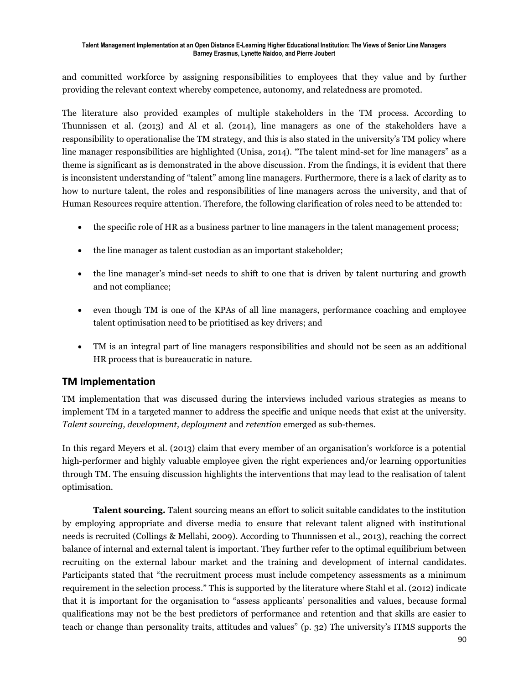and committed workforce by assigning responsibilities to employees that they value and by further providing the relevant context whereby competence, autonomy, and relatedness are promoted.

The literature also provided examples of multiple stakeholders in the TM process. According to Thunnissen et al. (2013) and Al et al. (2014), line managers as one of the stakeholders have a responsibility to operationalise the TM strategy, and this is also stated in the university's TM policy where line manager responsibilities are highlighted (Unisa, 2014). "The talent mind-set for line managers" as a theme is significant as is demonstrated in the above discussion. From the findings, it is evident that there is inconsistent understanding of "talent" among line managers. Furthermore, there is a lack of clarity as to how to nurture talent, the roles and responsibilities of line managers across the university, and that of Human Resources require attention. Therefore, the following clarification of roles need to be attended to:

- the specific role of HR as a business partner to line managers in the talent management process;
- the line manager as talent custodian as an important stakeholder;
- the line manager's mind-set needs to shift to one that is driven by talent nurturing and growth and not compliance;
- even though TM is one of the KPAs of all line managers, performance coaching and employee talent optimisation need to be priotitised as key drivers; and
- TM is an integral part of line managers responsibilities and should not be seen as an additional HR process that is bureaucratic in nature.

### **TM Implementation**

TM implementation that was discussed during the interviews included various strategies as means to implement TM in a targeted manner to address the specific and unique needs that exist at the university. *Talent sourcing, development, deployment* and *retention* emerged as sub-themes*.*

In this regard Meyers et al. (2013) claim that every member of an organisation's workforce is a potential high-performer and highly valuable employee given the right experiences and/or learning opportunities through TM. The ensuing discussion highlights the interventions that may lead to the realisation of talent optimisation.

**Talent sourcing.** Talent sourcing means an effort to solicit suitable candidates to the institution by employing appropriate and diverse media to ensure that relevant talent aligned with institutional needs is recruited (Collings & Mellahi, 2009). According to Thunnissen et al., 2013), reaching the correct balance of internal and external talent is important. They further refer to the optimal equilibrium between recruiting on the external labour market and the training and development of internal candidates. Participants stated that "the recruitment process must include competency assessments as a minimum requirement in the selection process." This is supported by the literature where Stahl et al. (2012) indicate that it is important for the organisation to "assess applicants' personalities and values, because formal qualifications may not be the best predictors of performance and retention and that skills are easier to teach or change than personality traits, attitudes and values" (p. 32) The university's ITMS supports the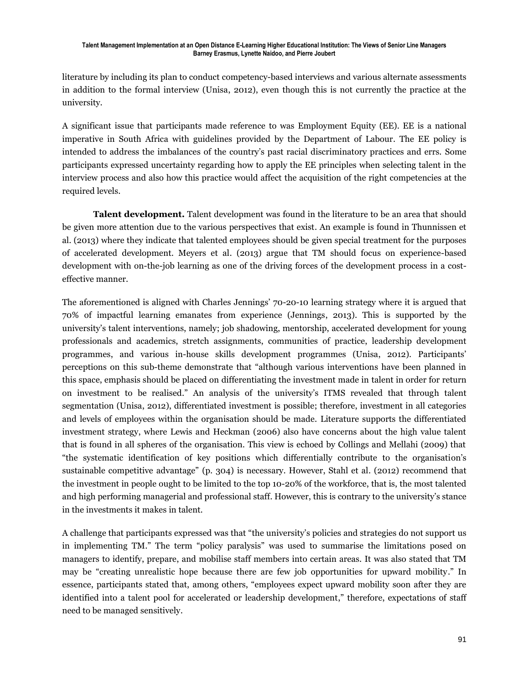literature by including its plan to conduct competency-based interviews and various alternate assessments in addition to the formal interview (Unisa, 2012), even though this is not currently the practice at the university.

A significant issue that participants made reference to was Employment Equity (EE). EE is a national imperative in South Africa with guidelines provided by the Department of Labour. The EE policy is intended to address the imbalances of the country's past racial discriminatory practices and errs. Some participants expressed uncertainty regarding how to apply the EE principles when selecting talent in the interview process and also how this practice would affect the acquisition of the right competencies at the required levels.

**Talent development.** Talent development was found in the literature to be an area that should be given more attention due to the various perspectives that exist. An example is found in Thunnissen et al. (2013) where they indicate that talented employees should be given special treatment for the purposes of accelerated development. Meyers et al. (2013) argue that TM should focus on experience-based development with on-the-job learning as one of the driving forces of the development process in a costeffective manner.

The aforementioned is aligned with Charles Jennings' 70-20-10 learning strategy where it is argued that 70% of impactful learning emanates from experience (Jennings, 2013). This is supported by the university's talent interventions, namely; job shadowing, mentorship, accelerated development for young professionals and academics, stretch assignments, communities of practice, leadership development programmes, and various in-house skills development programmes (Unisa, 2012). Participants' perceptions on this sub-theme demonstrate that "although various interventions have been planned in this space, emphasis should be placed on differentiating the investment made in talent in order for return on investment to be realised." An analysis of the university's ITMS revealed that through talent segmentation (Unisa, 2012), differentiated investment is possible; therefore, investment in all categories and levels of employees within the organisation should be made. Literature supports the differentiated investment strategy, where Lewis and Heckman (2006) also have concerns about the high value talent that is found in all spheres of the organisation. This view is echoed by Collings and Mellahi (2009) that "the systematic identification of key positions which differentially contribute to the organisation's sustainable competitive advantage" (p. 304) is necessary. However, Stahl et al. (2012) recommend that the investment in people ought to be limited to the top 10-20% of the workforce, that is, the most talented and high performing managerial and professional staff. However, this is contrary to the university's stance in the investments it makes in talent.

A challenge that participants expressed was that "the university's policies and strategies do not support us in implementing TM." The term "policy paralysis" was used to summarise the limitations posed on managers to identify, prepare, and mobilise staff members into certain areas. It was also stated that TM may be "creating unrealistic hope because there are few job opportunities for upward mobility." In essence, participants stated that, among others, "employees expect upward mobility soon after they are identified into a talent pool for accelerated or leadership development," therefore, expectations of staff need to be managed sensitively.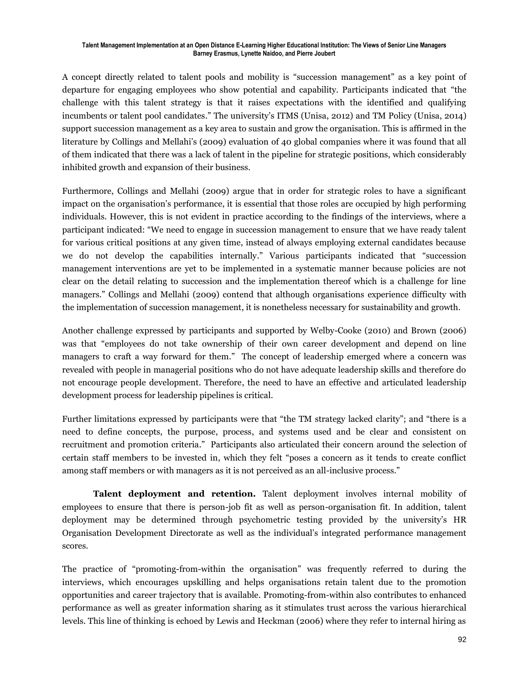A concept directly related to talent pools and mobility is "succession management" as a key point of departure for engaging employees who show potential and capability. Participants indicated that "the challenge with this talent strategy is that it raises expectations with the identified and qualifying incumbents or talent pool candidates." The university's ITMS (Unisa, 2012) and TM Policy (Unisa, 2014) support succession management as a key area to sustain and grow the organisation. This is affirmed in the literature by Collings and Mellahi's (2009) evaluation of 40 global companies where it was found that all of them indicated that there was a lack of talent in the pipeline for strategic positions, which considerably inhibited growth and expansion of their business.

Furthermore, Collings and Mellahi (2009) argue that in order for strategic roles to have a significant impact on the organisation's performance, it is essential that those roles are occupied by high performing individuals. However, this is not evident in practice according to the findings of the interviews, where a participant indicated: "We need to engage in succession management to ensure that we have ready talent for various critical positions at any given time, instead of always employing external candidates because we do not develop the capabilities internally." Various participants indicated that "succession management interventions are yet to be implemented in a systematic manner because policies are not clear on the detail relating to succession and the implementation thereof which is a challenge for line managers." Collings and Mellahi (2009) contend that although organisations experience difficulty with the implementation of succession management, it is nonetheless necessary for sustainability and growth.

Another challenge expressed by participants and supported by Welby-Cooke (2010) and Brown (2006) was that "employees do not take ownership of their own career development and depend on line managers to craft a way forward for them." The concept of leadership emerged where a concern was revealed with people in managerial positions who do not have adequate leadership skills and therefore do not encourage people development. Therefore, the need to have an effective and articulated leadership development process for leadership pipelines is critical.

Further limitations expressed by participants were that "the TM strategy lacked clarity"; and "there is a need to define concepts, the purpose, process, and systems used and be clear and consistent on recruitment and promotion criteria." Participants also articulated their concern around the selection of certain staff members to be invested in, which they felt "poses a concern as it tends to create conflict among staff members or with managers as it is not perceived as an all-inclusive process."

**Talent deployment and retention.** Talent deployment involves internal mobility of employees to ensure that there is person-job fit as well as person-organisation fit. In addition, talent deployment may be determined through psychometric testing provided by the university's HR Organisation Development Directorate as well as the individual's integrated performance management scores.

The practice of "promoting-from-within the organisation" was frequently referred to during the interviews, which encourages upskilling and helps organisations retain talent due to the promotion opportunities and career trajectory that is available. Promoting-from-within also contributes to enhanced performance as well as greater information sharing as it stimulates trust across the various hierarchical levels. This line of thinking is echoed by Lewis and Heckman (2006) where they refer to internal hiring as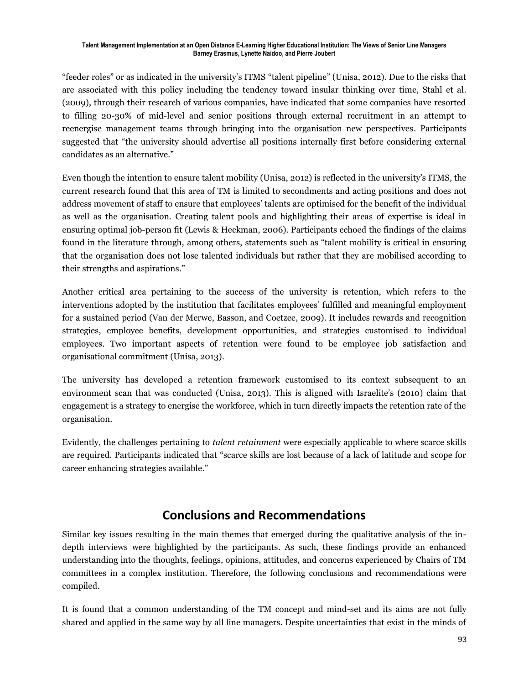"feeder roles" or as indicated in the university's ITMS "talent pipeline" (Unisa, 2012). Due to the risks that are associated with this policy including the tendency toward insular thinking over time, Stahl et al. (2009), through their research of various companies, have indicated that some companies have resorted to filling 20-30% of mid-level and senior positions through external recruitment in an attempt to reenergise management teams through bringing into the organisation new perspectives. Participants suggested that "the university should advertise all positions internally first before considering external candidates as an alternative."

Even though the intention to ensure talent mobility (Unisa, 2012) is reflected in the university's ITMS, the current research found that this area of TM is limited to secondments and acting positions and does not address movement of staff to ensure that employees' talents are optimised for the benefit of the individual as well as the organisation. Creating talent pools and highlighting their areas of expertise is ideal in ensuring optimal job-person fit (Lewis & Heckman, 2006). Participants echoed the findings of the claims found in the literature through, among others, statements such as "talent mobility is critical in ensuring that the organisation does not lose talented individuals but rather that they are mobilised according to their strengths and aspirations."

Another critical area pertaining to the success of the university is retention, which refers to the interventions adopted by the institution that facilitates employees' fulfilled and meaningful employment for a sustained period (Van der Merwe, Basson, and Coetzee, 2009). It includes rewards and recognition strategies, employee benefits, development opportunities, and strategies customised to individual employees. Two important aspects of retention were found to be employee job satisfaction and organisational commitment (Unisa, 2013).

The university has developed a retention framework customised to its context subsequent to an environment scan that was conducted (Unisa, 2013). This is aligned with Israelite's (2010) claim that engagement is a strategy to energise the workforce, which in turn directly impacts the retention rate of the organisation.

Evidently, the challenges pertaining to *talent retainment* were especially applicable to where scarce skills are required. Participants indicated that "scarce skills are lost because of a lack of latitude and scope for career enhancing strategies available."

# **Conclusions and Recommendations**

Similar key issues resulting in the main themes that emerged during the qualitative analysis of the indepth interviews were highlighted by the participants. As such, these findings provide an enhanced understanding into the thoughts, feelings, opinions, attitudes, and concerns experienced by Chairs of TM committees in a complex institution. Therefore, the following conclusions and recommendations were compiled.

It is found that a common understanding of the TM concept and mind-set and its aims are not fully shared and applied in the same way by all line managers. Despite uncertainties that exist in the minds of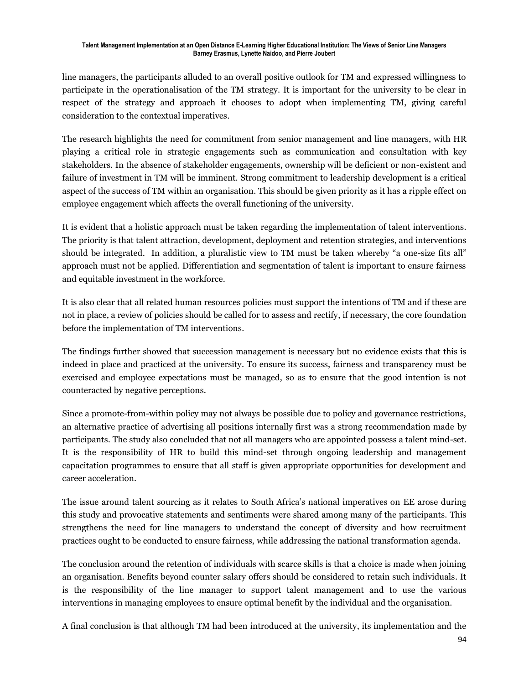line managers, the participants alluded to an overall positive outlook for TM and expressed willingness to participate in the operationalisation of the TM strategy. It is important for the university to be clear in respect of the strategy and approach it chooses to adopt when implementing TM, giving careful consideration to the contextual imperatives.

The research highlights the need for commitment from senior management and line managers, with HR playing a critical role in strategic engagements such as communication and consultation with key stakeholders. In the absence of stakeholder engagements, ownership will be deficient or non-existent and failure of investment in TM will be imminent. Strong commitment to leadership development is a critical aspect of the success of TM within an organisation. This should be given priority as it has a ripple effect on employee engagement which affects the overall functioning of the university.

It is evident that a holistic approach must be taken regarding the implementation of talent interventions. The priority is that talent attraction, development, deployment and retention strategies, and interventions should be integrated. In addition, a pluralistic view to TM must be taken whereby "a one-size fits all" approach must not be applied. Differentiation and segmentation of talent is important to ensure fairness and equitable investment in the workforce.

It is also clear that all related human resources policies must support the intentions of TM and if these are not in place, a review of policies should be called for to assess and rectify, if necessary, the core foundation before the implementation of TM interventions.

The findings further showed that succession management is necessary but no evidence exists that this is indeed in place and practiced at the university. To ensure its success, fairness and transparency must be exercised and employee expectations must be managed, so as to ensure that the good intention is not counteracted by negative perceptions.

Since a promote-from-within policy may not always be possible due to policy and governance restrictions, an alternative practice of advertising all positions internally first was a strong recommendation made by participants. The study also concluded that not all managers who are appointed possess a talent mind-set. It is the responsibility of HR to build this mind-set through ongoing leadership and management capacitation programmes to ensure that all staff is given appropriate opportunities for development and career acceleration.

The issue around talent sourcing as it relates to South Africa's national imperatives on EE arose during this study and provocative statements and sentiments were shared among many of the participants. This strengthens the need for line managers to understand the concept of diversity and how recruitment practices ought to be conducted to ensure fairness, while addressing the national transformation agenda.

The conclusion around the retention of individuals with scarce skills is that a choice is made when joining an organisation. Benefits beyond counter salary offers should be considered to retain such individuals. It is the responsibility of the line manager to support talent management and to use the various interventions in managing employees to ensure optimal benefit by the individual and the organisation.

A final conclusion is that although TM had been introduced at the university, its implementation and the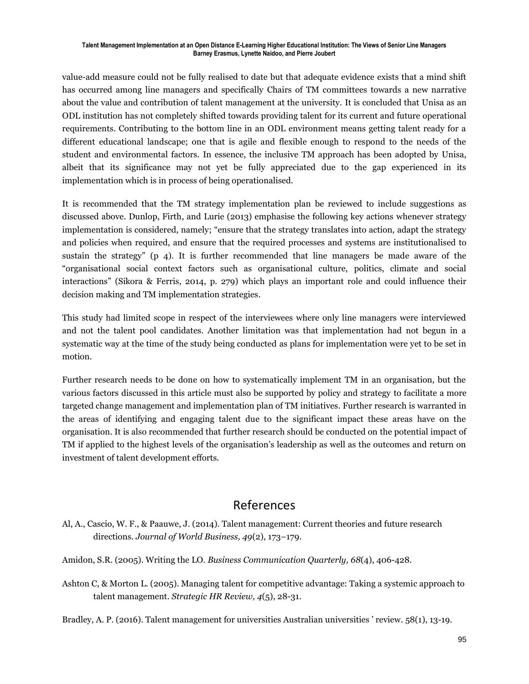value-add measure could not be fully realised to date but that adequate evidence exists that a mind shift has occurred among line managers and specifically Chairs of TM committees towards a new narrative about the value and contribution of talent management at the university. It is concluded that Unisa as an ODL institution has not completely shifted towards providing talent for its current and future operational requirements. Contributing to the bottom line in an ODL environment means getting talent ready for a different educational landscape; one that is agile and flexible enough to respond to the needs of the student and environmental factors. In essence, the inclusive TM approach has been adopted by Unisa, albeit that its significance may not yet be fully appreciated due to the gap experienced in its implementation which is in process of being operationalised.

It is recommended that the TM strategy implementation plan be reviewed to include suggestions as discussed above. Dunlop, Firth, and Lurie (2013) emphasise the following key actions whenever strategy implementation is considered, namely; "ensure that the strategy translates into action, adapt the strategy and policies when required, and ensure that the required processes and systems are institutionalised to sustain the strategy" (p 4). It is further recommended that line managers be made aware of the "organisational social context factors such as organisational culture, politics, climate and social interactions" (Sikora & Ferris, 2014, p. 279) which plays an important role and could influence their decision making and TM implementation strategies.

This study had limited scope in respect of the interviewees where only line managers were interviewed and not the talent pool candidates. Another limitation was that implementation had not begun in a systematic way at the time of the study being conducted as plans for implementation were yet to be set in motion.

Further research needs to be done on how to systematically implement TM in an organisation, but the various factors discussed in this article must also be supported by policy and strategy to facilitate a more targeted change management and implementation plan of TM initiatives. Further research is warranted in the areas of identifying and engaging talent due to the significant impact these areas have on the organisation. It is also recommended that further research should be conducted on the potential impact of TM if applied to the highest levels of the organisation's leadership as well as the outcomes and return on investment of talent development efforts.

# References

- Al, A., Cascio, W. F., & Paauwe, J. (2014). Talent management: Current theories and future research directions. *Journal of World Business, 49*(2), 173–179.
- Amidon, S.R. (2005). Writing the LO. *Business Communication Quarterly, 68*(4), 406-428.
- Ashton C, & Morton L. (2005). Managing talent for competitive advantage: Taking a systemic approach to talent management. *Strategic HR Review, 4*(5), 28-31.

Bradley, A. P. (2016). Talent management for universities Australian universities ' review. 58(1), 13-19.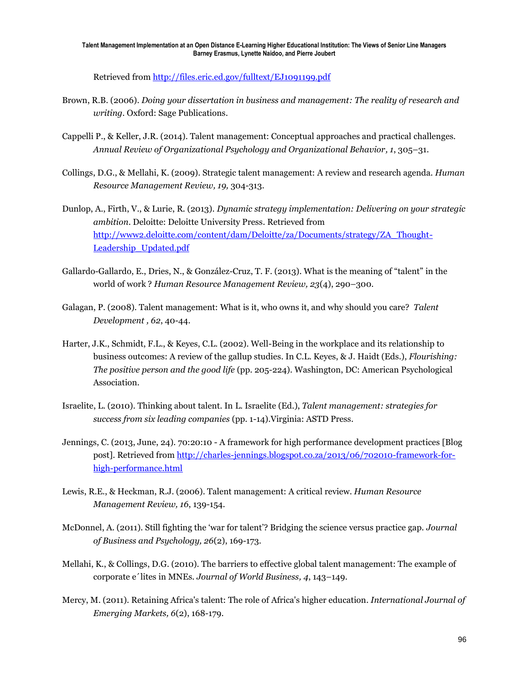Retrieved from<http://files.eric.ed.gov/fulltext/EJ1091199.pdf>

- Brown, R.B. (2006). *Doing your dissertation in business and management: The reality of research and writing.* Oxford: Sage Publications.
- Cappelli P., & Keller, J.R. (2014). Talent management: Conceptual approaches and practical challenges. *Annual Review of Organizational Psychology and Organizational Behavior, 1*, 305–31.
- Collings, D.G., & Mellahi, K. (2009). Strategic talent management: A review and research agenda. *Human Resource Management Review, 19,* 304-313.
- Dunlop, A., Firth, V., & Lurie, R. (2013). *Dynamic strategy implementation: Delivering on your strategic ambition*. Deloitte: Deloitte University Press. Retrieved from [http://www2.deloitte.com/content/dam/Deloitte/za/Documents/strategy/ZA\\_Thought-](http://www2.deloitte.com/content/dam/Deloitte/za/Documents/strategy/ZA_Thought-Leadership_Updated.pdf)[Leadership\\_Updated.pdf](http://www2.deloitte.com/content/dam/Deloitte/za/Documents/strategy/ZA_Thought-Leadership_Updated.pdf)
- Gallardo-Gallardo, E., Dries, N., & González-Cruz, T. F. (2013). What is the meaning of "talent" in the world of work ? *Human Resource Management Review, 23*(4), 290–300.
- Galagan, P. (2008). Talent management: What is it, who owns it, and why should you care? *Talent Development , 62*, 40-44.
- Harter, J.K., Schmidt, F.L., & Keyes, C.L. (2002). Well-Being in the workplace and its relationship to business outcomes: A review of the gallup studies. In C.L. Keyes, & J. Haidt (Eds.), *Flourishing: The positive person and the good life* (pp. 205-224). Washington, DC: American Psychological Association.
- Israelite, L. (2010). Thinking about talent. In L. Israelite (Ed.), *Talent management: strategies for success from six leading companies* (pp. 1-14).Virginia: ASTD Press.
- Jennings, C. (2013, June, 24). 70:20:10 A framework for high performance development practices [Blog post]. Retrieved from [http://charles-jennings.blogspot.co.za/2013/06/702010-framework-for](http://charles-jennings.blogspot.co.za/2013/06/702010-framework-for-high-performance.html)[high-performance.html](http://charles-jennings.blogspot.co.za/2013/06/702010-framework-for-high-performance.html)
- Lewis, R.E., & Heckman, R.J. (2006). Talent management: A critical review. *Human Resource Management Review, 16*, 139-154.
- McDonnel, A. (2011). Still fighting the 'war for talent'? Bridging the science versus practice gap. *Journal of Business and Psychology, 26*(2), 169-173.
- Mellahi, K., & Collings, D.G. (2010). The barriers to effective global talent management: The example of corporate e´lites in MNEs. *Journal of World Business, 4*, 143–149.
- Mercy, M. (2011). Retaining Africa's talent: The role of Africa's higher education*. International Journal of Emerging Markets, 6*(2), 168-179.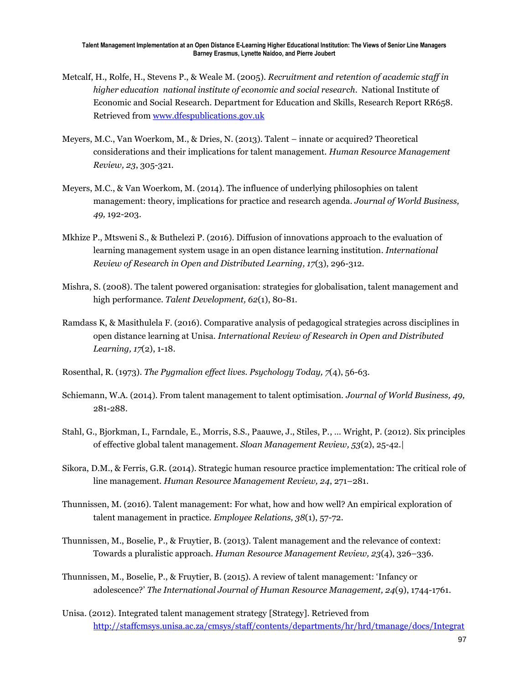- Metcalf, H., Rolfe, H., Stevens P., & Weale M. (2005). *Recruitment and retention of academic staff in higher education national institute of economic and social research*. National Institute of Economic and Social Research. Department for Education and Skills, Research Report RR658. Retrieved from [www.dfespublications.gov.uk](http://www.dfespublications.gov.uk/)
- Meyers, M.C., Van Woerkom, M., & Dries, N. (2013). Talent innate or acquired? Theoretical considerations and their implications for talent management. *Human Resource Management Review, 23*, 305-321.
- Meyers, M.C., & Van Woerkom, M. (2014). The influence of underlying philosophies on talent management: theory, implications for practice and research agenda. *Journal of World Business, 49,* 192-203.
- Mkhize P., Mtsweni S., & Buthelezi P. (2016). Diffusion of innovations approach to the evaluation of learning management system usage in an open distance learning institution. *International Review of Research in Open and Distributed Learning, 17*(3), 296-312.
- Mishra, S. (2008). The talent powered organisation: strategies for globalisation, talent management and high performance. *Talent Development, 62*(1), 80-81.
- Ramdass K, & Masithulela F. (2016). Comparative analysis of pedagogical strategies across disciplines in open distance learning at Unisa. *International Review of Research in Open and Distributed Learning, 17*(2), 1-18.
- Rosenthal, R. (1973). *The Pygmalion effect lives. Psychology Today, 7*(4), 56-63.
- Schiemann, W.A. (2014). From talent management to talent optimisation. *Journal of World Business, 49,* 281-288.
- Stahl, G., Bjorkman, I., Farndale, E., Morris, S.S., Paauwe, J., Stiles, P., … Wright, P. (2012). Six principles of effective global talent management. *Sloan Management Review, 53*(2), 25-42.|
- Sikora, D.M., & Ferris, G.R. (2014). Strategic human resource practice implementation: The critical role of line management. *Human Resource Management Review, 24*, 271–281.
- Thunnissen, M. (2016). Talent management: For what, how and how well? An empirical exploration of talent management in practice. *Employee Relations, 38*(1), 57-72.
- Thunnissen, M., Boselie, P., & Fruytier, B. (2013). Talent management and the relevance of context: Towards a pluralistic approach. *Human Resource Management Review, 23*(4), 326–336.
- Thunnissen, M., Boselie, P., & Fruytier, B. (2015). A review of talent management: 'Infancy or adolescence?' *The International Journal of Human Resource Management, 24*(9), 1744-1761.
- Unisa. (2012). Integrated talent management strategy [Strategy]. Retrieved from [http://staffcmsys.unisa.ac.za/cmsys/staff/contents/departments/hr/hrd/tmanage/docs/Integrat](http://staffcmsys.unisa.ac.za/cmsys/staff/contents/departments/hr/hrd/tmanage/docs/Integrated_TM_Strategy.doc)